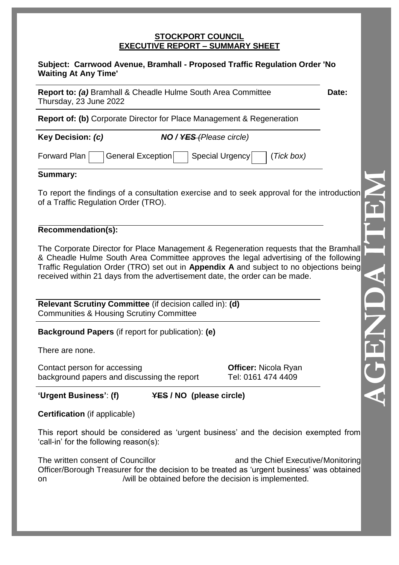#### **STOCKPORT COUNCIL EXECUTIVE REPORT – SUMMARY SHEET**

#### **Subject: Carrwood Avenue, Bramhall - Proposed Traffic Regulation Order 'No Waiting At Any Time'**

**Report to: (a)** Bramhall & Cheadle Hulme South Area Committee **Date:** Thursday, 23 June 2022

**Report of: (b)** Corporate Director for Place Management & Regeneration

**Key Decision:** *(c) NO / YES (Please circle)*

Forward Plan General Exception Special Urgency (*Tick box)* 

### **Summary:**

To report the findings of a consultation exercise and to seek approval for the introduction of a Traffic Regulation Order (TRO).

### **Recommendation(s):**

The Corporate Director for Place Management & Regeneration requests that the Bramhall & Cheadle Hulme South Area Committee approves the legal advertising of the following Traffic Regulation Order (TRO) set out in **Appendix A** and subject to no objections being received within 21 days from the advertisement date, the order can be made.

**Relevant Scrutiny Committee** (if decision called in): **(d)** Communities & Housing Scrutiny Committee

**Background Papers** (if report for publication): **(e)**

There are none.

Contact person for accessing **Officer:** Nicola Ryan background papers and discussing the report Tel: 0161 474 4409

**'Urgent Business'**: **(f) YES / NO (please circle)**

**Certification** (if applicable)

This report should be considered as 'urgent business' and the decision exempted from 'call-in' for the following reason(s):

The written consent of Councillor and the Chief Executive/Monitoring Officer/Borough Treasurer for the decision to be treated as 'urgent business' was obtained on /will be obtained before the decision is implemented.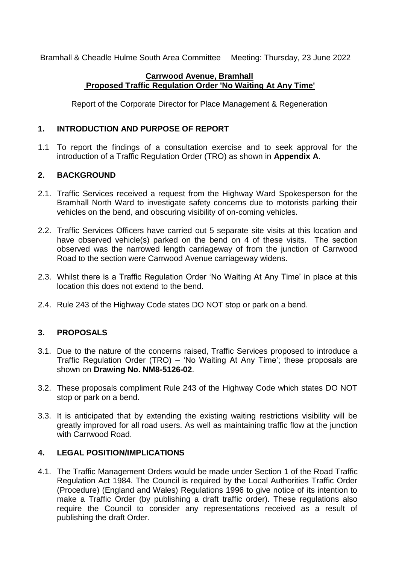Bramhall & Cheadle Hulme South Area Committee Meeting: Thursday, 23 June 2022

## **Carrwood Avenue, Bramhall Proposed Traffic Regulation Order 'No Waiting At Any Time'**

Report of the Corporate Director for Place Management & Regeneration

## **1. INTRODUCTION AND PURPOSE OF REPORT**

1.1 To report the findings of a consultation exercise and to seek approval for the introduction of a Traffic Regulation Order (TRO) as shown in **Appendix A**.

# **2. BACKGROUND**

- 2.1. Traffic Services received a request from the Highway Ward Spokesperson for the Bramhall North Ward to investigate safety concerns due to motorists parking their vehicles on the bend, and obscuring visibility of on-coming vehicles.
- 2.2. Traffic Services Officers have carried out 5 separate site visits at this location and have observed vehicle(s) parked on the bend on 4 of these visits. The section observed was the narrowed length carriageway of from the junction of Carrwood Road to the section were Carrwood Avenue carriageway widens.
- 2.3. Whilst there is a Traffic Regulation Order 'No Waiting At Any Time' in place at this location this does not extend to the bend.
- 2.4. Rule 243 of the Highway Code states DO NOT stop or park on a bend.

# **3. PROPOSALS**

- 3.1. Due to the nature of the concerns raised, Traffic Services proposed to introduce a Traffic Regulation Order (TRO) – 'No Waiting At Any Time'; these proposals are shown on **Drawing No. NM8-5126-02**.
- 3.2. These proposals compliment Rule 243 of the Highway Code which states DO NOT stop or park on a bend.
- 3.3. It is anticipated that by extending the existing waiting restrictions visibility will be greatly improved for all road users. As well as maintaining traffic flow at the junction with Carrwood Road.

# **4. LEGAL POSITION/IMPLICATIONS**

4.1. The Traffic Management Orders would be made under Section 1 of the Road Traffic Regulation Act 1984. The Council is required by the Local Authorities Traffic Order (Procedure) (England and Wales) Regulations 1996 to give notice of its intention to make a Traffic Order (by publishing a draft traffic order). These regulations also require the Council to consider any representations received as a result of publishing the draft Order.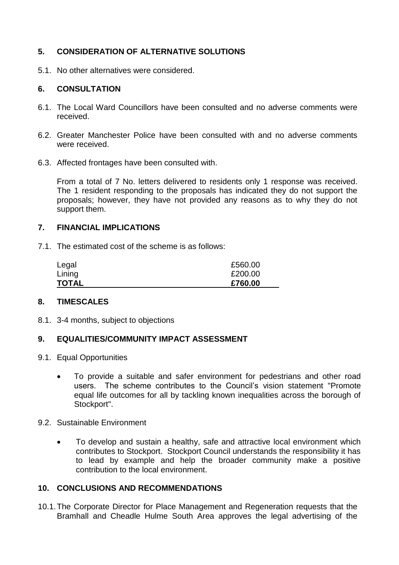## **5. CONSIDERATION OF ALTERNATIVE SOLUTIONS**

5.1. No other alternatives were considered.

## **6. CONSULTATION**

- 6.1. The Local Ward Councillors have been consulted and no adverse comments were received.
- 6.2. Greater Manchester Police have been consulted with and no adverse comments were received.
- 6.3. Affected frontages have been consulted with.

From a total of 7 No. letters delivered to residents only 1 response was received. The 1 resident responding to the proposals has indicated they do not support the proposals; however, they have not provided any reasons as to why they do not support them.

#### **7. FINANCIAL IMPLICATIONS**

7.1. The estimated cost of the scheme is as follows:

| Legal        | £560.00 |
|--------------|---------|
| Lining       | £200.00 |
| <b>TOTAL</b> | £760.00 |

#### **8. TIMESCALES**

8.1. 3-4 months, subject to objections

#### **9. EQUALITIES/COMMUNITY IMPACT ASSESSMENT**

- 9.1. Equal Opportunities
	- To provide a suitable and safer environment for pedestrians and other road users. The scheme contributes to the Council's vision statement "Promote equal life outcomes for all by tackling known inequalities across the borough of Stockport".
- 9.2. Sustainable Environment
	- To develop and sustain a healthy, safe and attractive local environment which contributes to Stockport. Stockport Council understands the responsibility it has to lead by example and help the broader community make a positive contribution to the local environment.

### **10. CONCLUSIONS AND RECOMMENDATIONS**

10.1.The Corporate Director for Place Management and Regeneration requests that the Bramhall and Cheadle Hulme South Area approves the legal advertising of the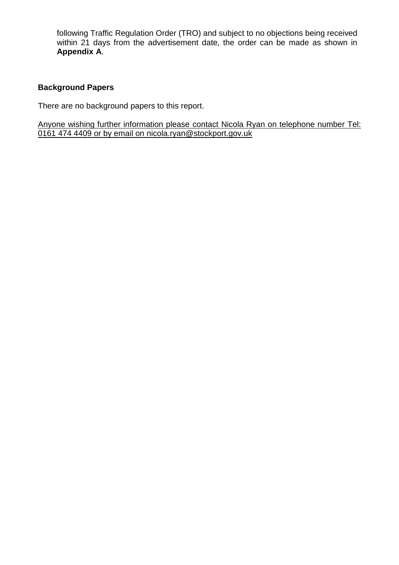following Traffic Regulation Order (TRO) and subject to no objections being received within 21 days from the advertisement date, the order can be made as shown in **Appendix A**.

## **Background Papers**

There are no background papers to this report.

Anyone wishing further information please contact Nicola Ryan on telephone number Tel: 0161 474 4409 or by email on nicola.ryan@stockport.gov.uk